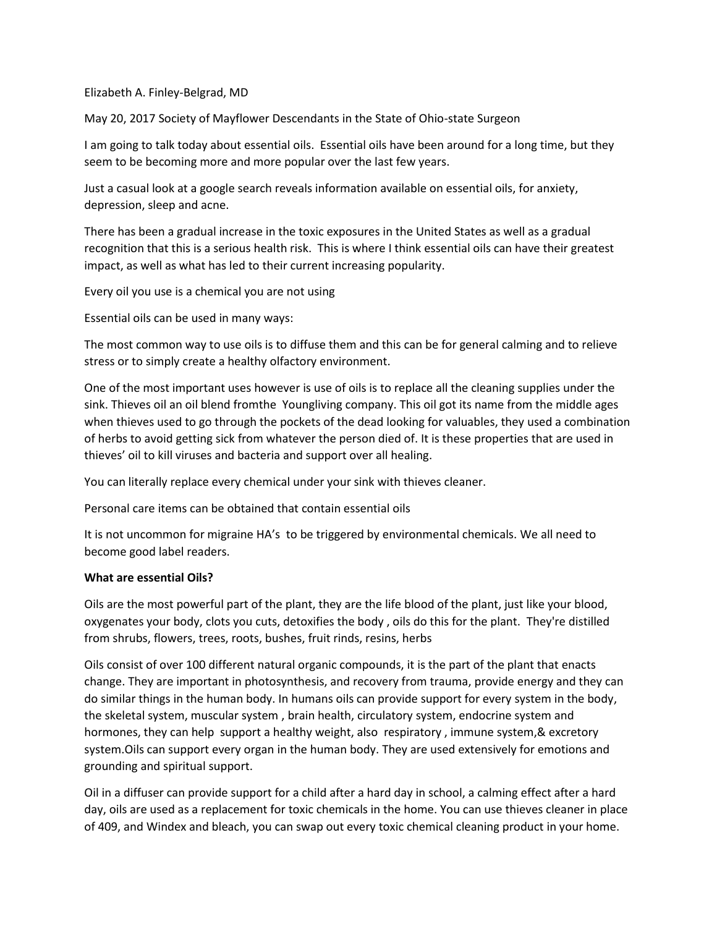#### Elizabeth A. Finley-Belgrad, MD

May 20, 2017 Society of Mayflower Descendants in the State of Ohio-state Surgeon

I am going to talk today about essential oils. Essential oils have been around for a long time, but they seem to be becoming more and more popular over the last few years.

Just a casual look at a google search reveals information available on essential oils, for anxiety, depression, sleep and acne.

There has been a gradual increase in the toxic exposures in the United States as well as a gradual recognition that this is a serious health risk. This is where I think essential oils can have their greatest impact, as well as what has led to their current increasing popularity.

Every oil you use is a chemical you are not using

Essential oils can be used in many ways:

The most common way to use oils is to diffuse them and this can be for general calming and to relieve stress or to simply create a healthy olfactory environment.

One of the most important uses however is use of oils is to replace all the cleaning supplies under the sink. Thieves oil an oil blend fromthe Youngliving company. This oil got its name from the middle ages when thieves used to go through the pockets of the dead looking for valuables, they used a combination of herbs to avoid getting sick from whatever the person died of. It is these properties that are used in thieves' oil to kill viruses and bacteria and support over all healing.

You can literally replace every chemical under your sink with thieves cleaner.

Personal care items can be obtained that contain essential oils

It is not uncommon for migraine HA's to be triggered by environmental chemicals. We all need to become good label readers.

#### **What are essential Oils?**

Oils are the most powerful part of the plant, they are the life blood of the plant, just like your blood, oxygenates your body, clots you cuts, detoxifies the body , oils do this for the plant. They're distilled from shrubs, flowers, trees, roots, bushes, fruit rinds, resins, herbs

Oils consist of over 100 different natural organic compounds, it is the part of the plant that enacts change. They are important in photosynthesis, and recovery from trauma, provide energy and they can do similar things in the human body. In humans oils can provide support for every system in the body, the skeletal system, muscular system , brain health, circulatory system, endocrine system and hormones, they can help support a healthy weight, also respiratory, immune system, & excretory system.Oils can support every organ in the human body. They are used extensively for emotions and grounding and spiritual support.

Oil in a diffuser can provide support for a child after a hard day in school, a calming effect after a hard day, oils are used as a replacement for toxic chemicals in the home. You can use thieves cleaner in place of 409, and Windex and bleach, you can swap out every toxic chemical cleaning product in your home.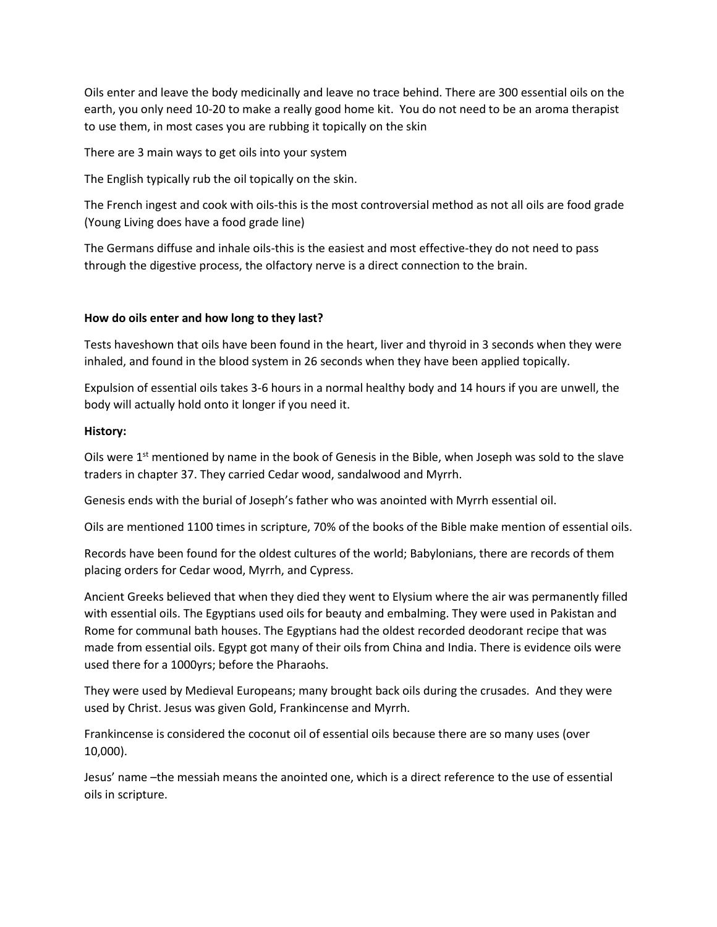Oils enter and leave the body medicinally and leave no trace behind. There are 300 essential oils on the earth, you only need 10-20 to make a really good home kit. You do not need to be an aroma therapist to use them, in most cases you are rubbing it topically on the skin

There are 3 main ways to get oils into your system

The English typically rub the oil topically on the skin.

The French ingest and cook with oils-this is the most controversial method as not all oils are food grade (Young Living does have a food grade line)

The Germans diffuse and inhale oils-this is the easiest and most effective-they do not need to pass through the digestive process, the olfactory nerve is a direct connection to the brain.

# **How do oils enter and how long to they last?**

Tests haveshown that oils have been found in the heart, liver and thyroid in 3 seconds when they were inhaled, and found in the blood system in 26 seconds when they have been applied topically.

Expulsion of essential oils takes 3-6 hours in a normal healthy body and 14 hours if you are unwell, the body will actually hold onto it longer if you need it.

# **History:**

Oils were  $1<sup>st</sup>$  mentioned by name in the book of Genesis in the Bible, when Joseph was sold to the slave traders in chapter 37. They carried Cedar wood, sandalwood and Myrrh.

Genesis ends with the burial of Joseph's father who was anointed with Myrrh essential oil.

Oils are mentioned 1100 times in scripture, 70% of the books of the Bible make mention of essential oils.

Records have been found for the oldest cultures of the world; Babylonians, there are records of them placing orders for Cedar wood, Myrrh, and Cypress.

Ancient Greeks believed that when they died they went to Elysium where the air was permanently filled with essential oils. The Egyptians used oils for beauty and embalming. They were used in Pakistan and Rome for communal bath houses. The Egyptians had the oldest recorded deodorant recipe that was made from essential oils. Egypt got many of their oils from China and India. There is evidence oils were used there for a 1000yrs; before the Pharaohs.

They were used by Medieval Europeans; many brought back oils during the crusades. And they were used by Christ. Jesus was given Gold, Frankincense and Myrrh.

Frankincense is considered the coconut oil of essential oils because there are so many uses (over 10,000).

Jesus' name –the messiah means the anointed one, which is a direct reference to the use of essential oils in scripture.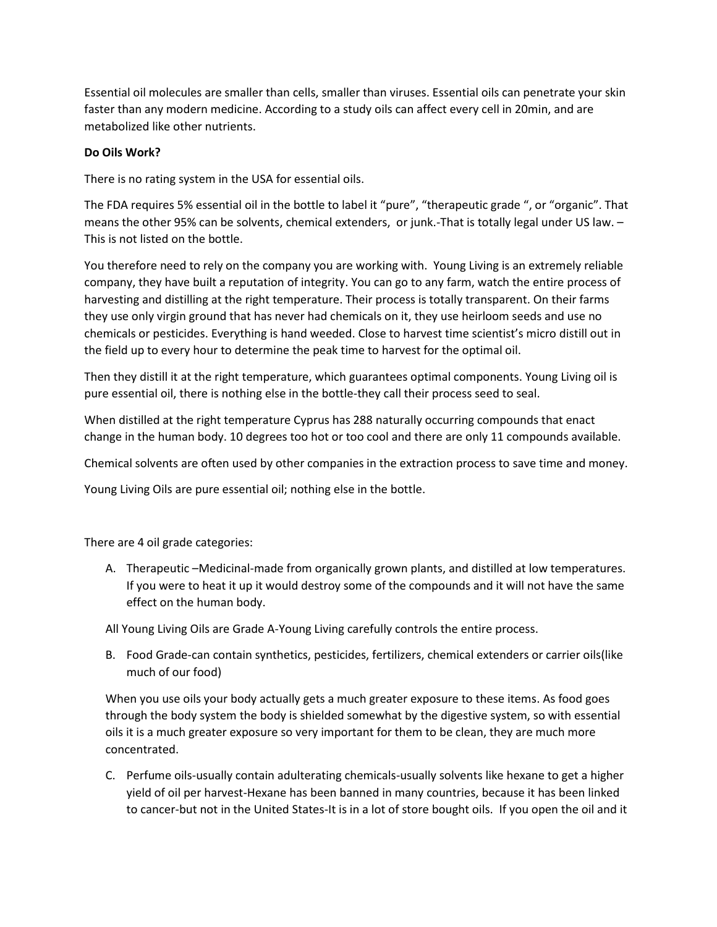Essential oil molecules are smaller than cells, smaller than viruses. Essential oils can penetrate your skin faster than any modern medicine. According to a study oils can affect every cell in 20min, and are metabolized like other nutrients.

# **Do Oils Work?**

There is no rating system in the USA for essential oils.

The FDA requires 5% essential oil in the bottle to label it "pure", "therapeutic grade ", or "organic". That means the other 95% can be solvents, chemical extenders, or junk.-That is totally legal under US law. – This is not listed on the bottle.

You therefore need to rely on the company you are working with. Young Living is an extremely reliable company, they have built a reputation of integrity. You can go to any farm, watch the entire process of harvesting and distilling at the right temperature. Their process is totally transparent. On their farms they use only virgin ground that has never had chemicals on it, they use heirloom seeds and use no chemicals or pesticides. Everything is hand weeded. Close to harvest time scientist's micro distill out in the field up to every hour to determine the peak time to harvest for the optimal oil.

Then they distill it at the right temperature, which guarantees optimal components. Young Living oil is pure essential oil, there is nothing else in the bottle-they call their process seed to seal.

When distilled at the right temperature Cyprus has 288 naturally occurring compounds that enact change in the human body. 10 degrees too hot or too cool and there are only 11 compounds available.

Chemical solvents are often used by other companies in the extraction process to save time and money.

Young Living Oils are pure essential oil; nothing else in the bottle.

There are 4 oil grade categories:

A. Therapeutic –Medicinal-made from organically grown plants, and distilled at low temperatures. If you were to heat it up it would destroy some of the compounds and it will not have the same effect on the human body.

All Young Living Oils are Grade A-Young Living carefully controls the entire process.

B. Food Grade-can contain synthetics, pesticides, fertilizers, chemical extenders or carrier oils(like much of our food)

When you use oils your body actually gets a much greater exposure to these items. As food goes through the body system the body is shielded somewhat by the digestive system, so with essential oils it is a much greater exposure so very important for them to be clean, they are much more concentrated.

C. Perfume oils-usually contain adulterating chemicals-usually solvents like hexane to get a higher yield of oil per harvest-Hexane has been banned in many countries, because it has been linked to cancer-but not in the United States-It is in a lot of store bought oils. If you open the oil and it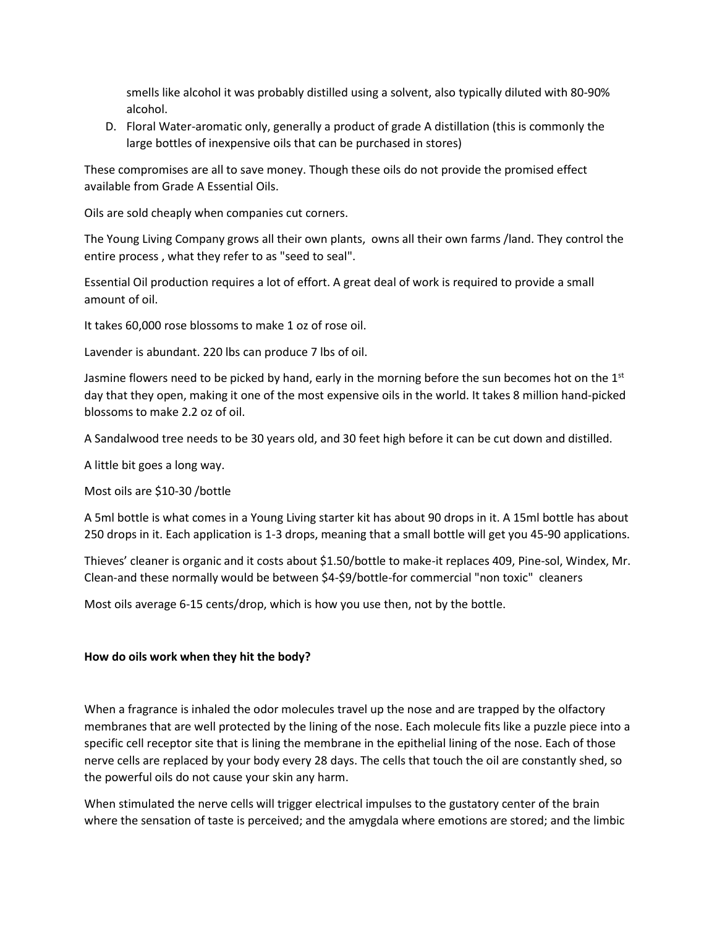smells like alcohol it was probably distilled using a solvent, also typically diluted with 80-90% alcohol.

D. Floral Water-aromatic only, generally a product of grade A distillation (this is commonly the large bottles of inexpensive oils that can be purchased in stores)

These compromises are all to save money. Though these oils do not provide the promised effect available from Grade A Essential Oils.

Oils are sold cheaply when companies cut corners.

The Young Living Company grows all their own plants, owns all their own farms /land. They control the entire process , what they refer to as "seed to seal".

Essential Oil production requires a lot of effort. A great deal of work is required to provide a small amount of oil.

It takes 60,000 rose blossoms to make 1 oz of rose oil.

Lavender is abundant. 220 lbs can produce 7 lbs of oil.

Jasmine flowers need to be picked by hand, early in the morning before the sun becomes hot on the  $1<sup>st</sup>$ day that they open, making it one of the most expensive oils in the world. It takes 8 million hand-picked blossoms to make 2.2 oz of oil.

A Sandalwood tree needs to be 30 years old, and 30 feet high before it can be cut down and distilled.

A little bit goes a long way.

Most oils are \$10-30 /bottle

A 5ml bottle is what comes in a Young Living starter kit has about 90 drops in it. A 15ml bottle has about 250 drops in it. Each application is 1-3 drops, meaning that a small bottle will get you 45-90 applications.

Thieves' cleaner is organic and it costs about \$1.50/bottle to make-it replaces 409, Pine-sol, Windex, Mr. Clean-and these normally would be between \$4-\$9/bottle-for commercial "non toxic" cleaners

Most oils average 6-15 cents/drop, which is how you use then, not by the bottle.

#### **How do oils work when they hit the body?**

When a fragrance is inhaled the odor molecules travel up the nose and are trapped by the olfactory membranes that are well protected by the lining of the nose. Each molecule fits like a puzzle piece into a specific cell receptor site that is lining the membrane in the epithelial lining of the nose. Each of those nerve cells are replaced by your body every 28 days. The cells that touch the oil are constantly shed, so the powerful oils do not cause your skin any harm.

When stimulated the nerve cells will trigger electrical impulses to the gustatory center of the brain where the sensation of taste is perceived; and the amygdala where emotions are stored; and the limbic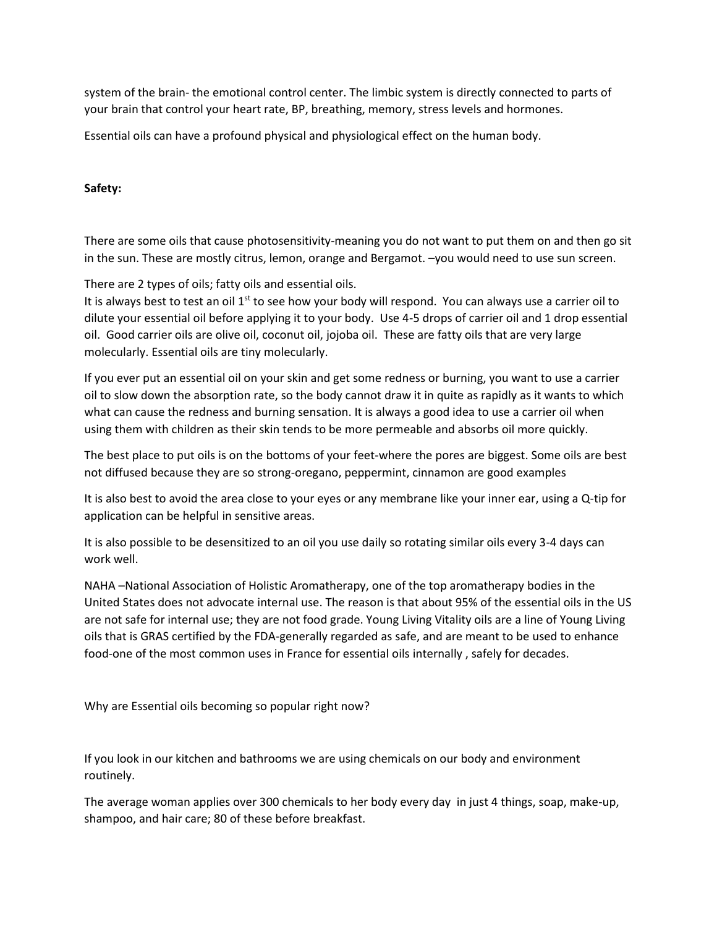system of the brain- the emotional control center. The limbic system is directly connected to parts of your brain that control your heart rate, BP, breathing, memory, stress levels and hormones.

Essential oils can have a profound physical and physiological effect on the human body.

### **Safety:**

There are some oils that cause photosensitivity-meaning you do not want to put them on and then go sit in the sun. These are mostly citrus, lemon, orange and Bergamot. –you would need to use sun screen.

There are 2 types of oils; fatty oils and essential oils.

It is always best to test an oil 1<sup>st</sup> to see how your body will respond. You can always use a carrier oil to dilute your essential oil before applying it to your body. Use 4-5 drops of carrier oil and 1 drop essential oil. Good carrier oils are olive oil, coconut oil, jojoba oil. These are fatty oils that are very large molecularly. Essential oils are tiny molecularly.

If you ever put an essential oil on your skin and get some redness or burning, you want to use a carrier oil to slow down the absorption rate, so the body cannot draw it in quite as rapidly as it wants to which what can cause the redness and burning sensation. It is always a good idea to use a carrier oil when using them with children as their skin tends to be more permeable and absorbs oil more quickly.

The best place to put oils is on the bottoms of your feet-where the pores are biggest. Some oils are best not diffused because they are so strong-oregano, peppermint, cinnamon are good examples

It is also best to avoid the area close to your eyes or any membrane like your inner ear, using a Q-tip for application can be helpful in sensitive areas.

It is also possible to be desensitized to an oil you use daily so rotating similar oils every 3-4 days can work well.

NAHA –National Association of Holistic Aromatherapy, one of the top aromatherapy bodies in the United States does not advocate internal use. The reason is that about 95% of the essential oils in the US are not safe for internal use; they are not food grade. Young Living Vitality oils are a line of Young Living oils that is GRAS certified by the FDA-generally regarded as safe, and are meant to be used to enhance food-one of the most common uses in France for essential oils internally , safely for decades.

Why are Essential oils becoming so popular right now?

If you look in our kitchen and bathrooms we are using chemicals on our body and environment routinely.

The average woman applies over 300 chemicals to her body every day in just 4 things, soap, make-up, shampoo, and hair care; 80 of these before breakfast.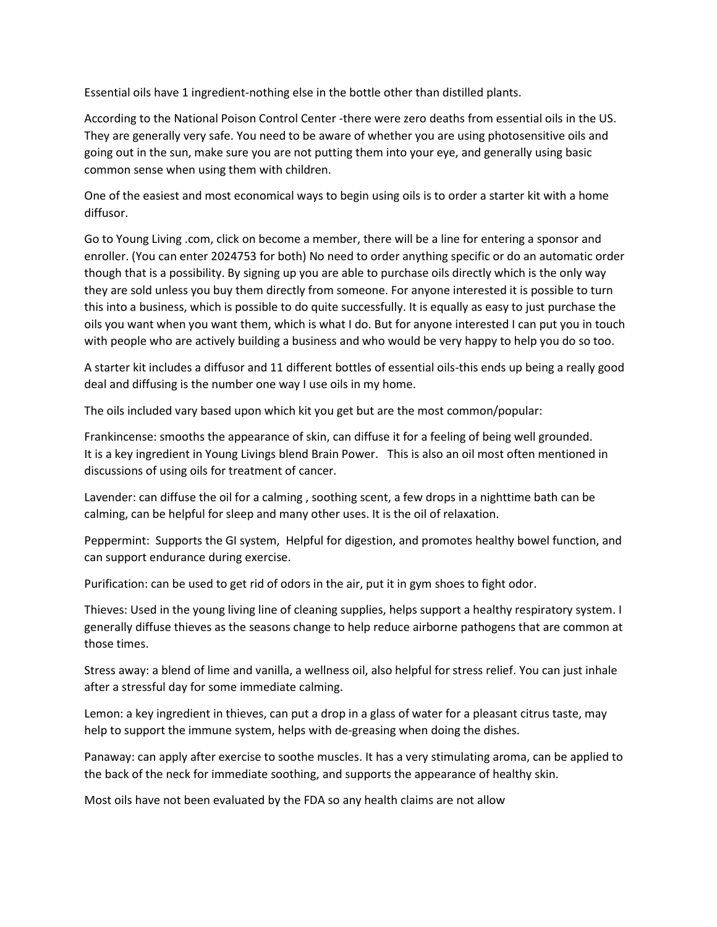Essential oils have 1 ingredient-nothing else in the bottle other than distilled plants.

According to the National Poison Control Center -there were zero deaths from essential oils in the US. They are generally very safe. You need to be aware of whether you are using photosensitive oils and going out in the sun, make sure you are not putting them into your eye, and generally using basic common sense when using them with children.

One of the easiest and most economical ways to begin using oils is to order a starter kit with a home diffusor.

Go to Young Living .com, click on become a member, there will be a line for entering a sponsor and enroller. (You can enter 2024753 for both) No need to order anything specific or do an automatic order though that is a possibility. By signing up you are able to purchase oils directly which is the only way they are sold unless you buy them directly from someone. For anyone interested it is possible to turn this into a business, which is possible to do quite successfully. It is equally as easy to just purchase the oils you want when you want them, which is what I do. But for anyone interested I can put you in touch with people who are actively building a business and who would be very happy to help you do so too.

A starter kit includes a diffusor and 11 different bottles of essential oils-this ends up being a really good deal and diffusing is the number one way I use oils in my home.

The oils included vary based upon which kit you get but are the most common/popular:

Frankincense: smooths the appearance of skin, can diffuse it for a feeling of being well grounded. It is a key ingredient in Young Livings blend Brain Power. This is also an oil most often mentioned in discussions of using oils for treatment of cancer.

Lavender: can diffuse the oil for a calming , soothing scent, a few drops in a nighttime bath can be calming, can be helpful for sleep and many other uses. It is the oil of relaxation.

Peppermint: Supports the GI system, Helpful for digestion, and promotes healthy bowel function, and can support endurance during exercise.

Purification: can be used to get rid of odors in the air, put it in gym shoes to fight odor.

Thieves: Used in the young living line of cleaning supplies, helps support a healthy respiratory system. I generally diffuse thieves as the seasons change to help reduce airborne pathogens that are common at those times.

Stress away: a blend of lime and vanilla, a wellness oil, also helpful for stress relief. You can just inhale after a stressful day for some immediate calming.

Lemon: a key ingredient in thieves, can put a drop in a glass of water for a pleasant citrus taste, may help to support the immune system, helps with de-greasing when doing the dishes.

Panaway: can apply after exercise to soothe muscles. It has a very stimulating aroma, can be applied to the back of the neck for immediate soothing, and supports the appearance of healthy skin.

Most oils have not been evaluated by the FDA so any health claims are not allow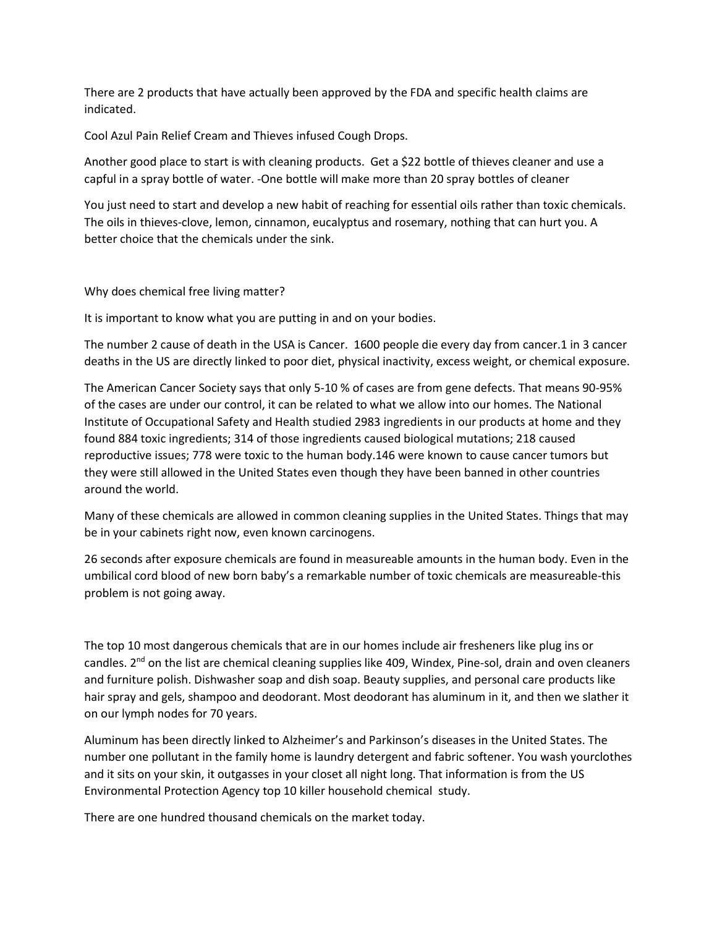There are 2 products that have actually been approved by the FDA and specific health claims are indicated.

Cool Azul Pain Relief Cream and Thieves infused Cough Drops.

Another good place to start is with cleaning products. Get a \$22 bottle of thieves cleaner and use a capful in a spray bottle of water. -One bottle will make more than 20 spray bottles of cleaner

You just need to start and develop a new habit of reaching for essential oils rather than toxic chemicals. The oils in thieves-clove, lemon, cinnamon, eucalyptus and rosemary, nothing that can hurt you. A better choice that the chemicals under the sink.

#### Why does chemical free living matter?

It is important to know what you are putting in and on your bodies.

The number 2 cause of death in the USA is Cancer. 1600 people die every day from cancer.1 in 3 cancer deaths in the US are directly linked to poor diet, physical inactivity, excess weight, or chemical exposure.

The American Cancer Society says that only 5-10 % of cases are from gene defects. That means 90-95% of the cases are under our control, it can be related to what we allow into our homes. The National Institute of Occupational Safety and Health studied 2983 ingredients in our products at home and they found 884 toxic ingredients; 314 of those ingredients caused biological mutations; 218 caused reproductive issues; 778 were toxic to the human body.146 were known to cause cancer tumors but they were still allowed in the United States even though they have been banned in other countries around the world.

Many of these chemicals are allowed in common cleaning supplies in the United States. Things that may be in your cabinets right now, even known carcinogens.

26 seconds after exposure chemicals are found in measureable amounts in the human body. Even in the umbilical cord blood of new born baby's a remarkable number of toxic chemicals are measureable-this problem is not going away.

The top 10 most dangerous chemicals that are in our homes include air fresheners like plug ins or candles. 2<sup>nd</sup> on the list are chemical cleaning supplies like 409, Windex, Pine-sol, drain and oven cleaners and furniture polish. Dishwasher soap and dish soap. Beauty supplies, and personal care products like hair spray and gels, shampoo and deodorant. Most deodorant has aluminum in it, and then we slather it on our lymph nodes for 70 years.

Aluminum has been directly linked to Alzheimer's and Parkinson's diseases in the United States. The number one pollutant in the family home is laundry detergent and fabric softener. You wash yourclothes and it sits on your skin, it outgasses in your closet all night long. That information is from the US Environmental Protection Agency top 10 killer household chemical study.

There are one hundred thousand chemicals on the market today.